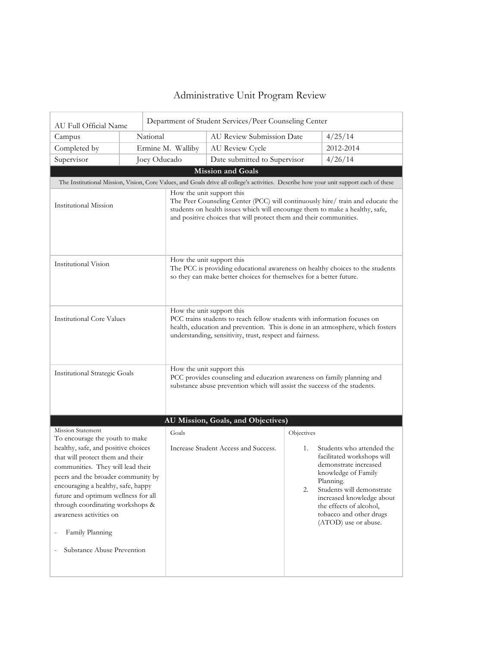## Administrative Unit Program Review

| Department of Student Services/Peer Counseling Center<br>AU Full Official Name                                                                                                                                                                                                                                                                                                                                                  |                   |                                                                                                                                                                                                                                                                   |                                                                                                                                                                                                                                                                                        |  |  |
|---------------------------------------------------------------------------------------------------------------------------------------------------------------------------------------------------------------------------------------------------------------------------------------------------------------------------------------------------------------------------------------------------------------------------------|-------------------|-------------------------------------------------------------------------------------------------------------------------------------------------------------------------------------------------------------------------------------------------------------------|----------------------------------------------------------------------------------------------------------------------------------------------------------------------------------------------------------------------------------------------------------------------------------------|--|--|
| Campus                                                                                                                                                                                                                                                                                                                                                                                                                          | National          | AU Review Submission Date                                                                                                                                                                                                                                         | 4/25/14                                                                                                                                                                                                                                                                                |  |  |
| Completed by                                                                                                                                                                                                                                                                                                                                                                                                                    | Ermine M. Walliby | AU Review Cycle                                                                                                                                                                                                                                                   | 2012-2014                                                                                                                                                                                                                                                                              |  |  |
| Supervisor                                                                                                                                                                                                                                                                                                                                                                                                                      | Joey Oducado      | Date submitted to Supervisor                                                                                                                                                                                                                                      | 4/26/14                                                                                                                                                                                                                                                                                |  |  |
|                                                                                                                                                                                                                                                                                                                                                                                                                                 |                   | Mission and Goals                                                                                                                                                                                                                                                 |                                                                                                                                                                                                                                                                                        |  |  |
|                                                                                                                                                                                                                                                                                                                                                                                                                                 |                   |                                                                                                                                                                                                                                                                   | The Institutional Mission, Vision, Core Values, and Goals drive all college's activities. Describe how your unit support each of these                                                                                                                                                 |  |  |
| Institutional Mission                                                                                                                                                                                                                                                                                                                                                                                                           |                   | How the unit support this<br>The Peer Counseling Center (PCC) will continuously hire/ train and educate the<br>students on health issues which will encourage them to make a healthy, safe,<br>and positive choices that will protect them and their communities. |                                                                                                                                                                                                                                                                                        |  |  |
| Institutional Vision                                                                                                                                                                                                                                                                                                                                                                                                            |                   | How the unit support this<br>The PCC is providing educational awareness on healthy choices to the students<br>so they can make better choices for themselves for a better future.                                                                                 |                                                                                                                                                                                                                                                                                        |  |  |
| <b>Institutional Core Values</b>                                                                                                                                                                                                                                                                                                                                                                                                |                   | How the unit support this<br>PCC trains students to reach fellow students with information focuses on<br>health, education and prevention. This is done in an atmosphere, which fosters<br>understanding, sensitivity, trust, respect and fairness.               |                                                                                                                                                                                                                                                                                        |  |  |
| <b>Institutional Strategic Goals</b>                                                                                                                                                                                                                                                                                                                                                                                            |                   | How the unit support this<br>PCC provides counseling and education awareness on family planning and<br>substance abuse prevention which will assist the success of the students.                                                                                  |                                                                                                                                                                                                                                                                                        |  |  |
|                                                                                                                                                                                                                                                                                                                                                                                                                                 |                   |                                                                                                                                                                                                                                                                   |                                                                                                                                                                                                                                                                                        |  |  |
| <b>Mission Statement</b>                                                                                                                                                                                                                                                                                                                                                                                                        |                   | AU Mission, Goals, and Objectives)                                                                                                                                                                                                                                |                                                                                                                                                                                                                                                                                        |  |  |
| To encourage the youth to make<br>healthy, safe, and positive choices<br>that will protect them and their<br>communities. They will lead their<br>peers and the broader community by<br>encouraging a healthy, safe, happy<br>future and optimum wellness for all<br>through coordinating workshops &<br>awareness activities on<br>Family Planning<br>$\overline{\phantom{a}}$<br>Substance Abuse Prevention<br>$\overline{a}$ | Goals             | Increase Student Access and Success.                                                                                                                                                                                                                              | Objectives<br>Students who attended the<br>1.<br>facilitated workshops will<br>demonstrate increased<br>knowledge of Family<br>Planning.<br>2.<br>Students will demonstrate<br>increased knowledge about<br>the effects of alcohol,<br>tobacco and other drugs<br>(ATOD) use or abuse. |  |  |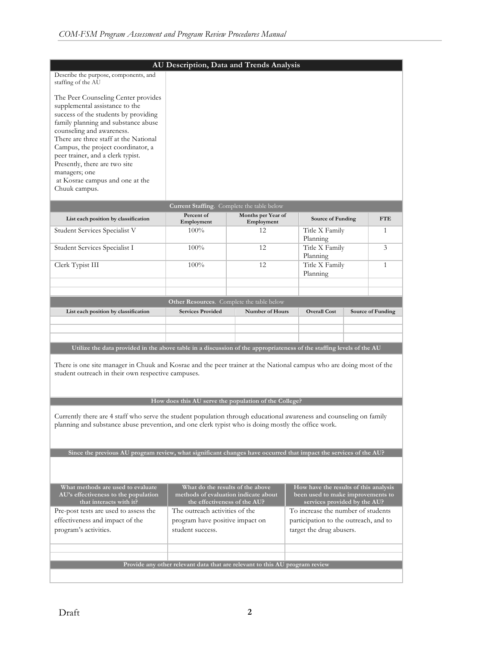|                                                                                                                                                                                                                                                                                                                                                                                                             | AU Description, Data and Trends Analysis                                                                 |                                  |                                                                                                            |                |                   |
|-------------------------------------------------------------------------------------------------------------------------------------------------------------------------------------------------------------------------------------------------------------------------------------------------------------------------------------------------------------------------------------------------------------|----------------------------------------------------------------------------------------------------------|----------------------------------|------------------------------------------------------------------------------------------------------------|----------------|-------------------|
| Describe the purpose, components, and<br>staffing of the AU                                                                                                                                                                                                                                                                                                                                                 |                                                                                                          |                                  |                                                                                                            |                |                   |
| The Peer Counseling Center provides<br>supplemental assistance to the<br>success of the students by providing<br>family planning and substance abuse<br>counseling and awareness.<br>There are three staff at the National<br>Campus, the project coordinator, a<br>peer trainer, and a clerk typist.<br>Presently, there are two site<br>managers; one<br>at Kosrae campus and one at the<br>Chuuk campus. |                                                                                                          |                                  |                                                                                                            |                |                   |
|                                                                                                                                                                                                                                                                                                                                                                                                             | Current Staffing. Complete the table below                                                               |                                  |                                                                                                            |                |                   |
| List each position by classification                                                                                                                                                                                                                                                                                                                                                                        | Percent of<br>Employment                                                                                 | Months per Year of<br>Employment | Source of Funding                                                                                          |                | <b>FTE</b>        |
| Student Services Specialist V                                                                                                                                                                                                                                                                                                                                                                               | $100\%$                                                                                                  | 12                               | Title X Family<br>Planning                                                                                 |                | 1                 |
| Student Services Specialist I                                                                                                                                                                                                                                                                                                                                                                               | 100%                                                                                                     | 12                               | Planning                                                                                                   | Title X Family |                   |
| Clerk Typist III                                                                                                                                                                                                                                                                                                                                                                                            | 100%                                                                                                     | 12                               | Planning                                                                                                   | Title X Family |                   |
|                                                                                                                                                                                                                                                                                                                                                                                                             |                                                                                                          |                                  |                                                                                                            |                |                   |
|                                                                                                                                                                                                                                                                                                                                                                                                             | Other Resources. Complete the table below                                                                |                                  |                                                                                                            |                |                   |
| List each position by classification                                                                                                                                                                                                                                                                                                                                                                        | <b>Services Provided</b>                                                                                 | <b>Number of Hours</b>           | <b>Overall Cost</b>                                                                                        |                | Source of Funding |
|                                                                                                                                                                                                                                                                                                                                                                                                             |                                                                                                          |                                  |                                                                                                            |                |                   |
|                                                                                                                                                                                                                                                                                                                                                                                                             |                                                                                                          |                                  |                                                                                                            |                |                   |
| Utilize the data provided in the above table in a discussion of the appropriateness of the staffing levels of the AU                                                                                                                                                                                                                                                                                        |                                                                                                          |                                  |                                                                                                            |                |                   |
| There is one site manager in Chuuk and Kosrae and the peer trainer at the National campus who are doing most of the<br>student outreach in their own respective campuses.                                                                                                                                                                                                                                   |                                                                                                          |                                  |                                                                                                            |                |                   |
|                                                                                                                                                                                                                                                                                                                                                                                                             | How does this AU serve the population of the College?                                                    |                                  |                                                                                                            |                |                   |
| Currently there are 4 staff who serve the student population through educational awareness and counseling on family<br>planning and substance abuse prevention, and one clerk typist who is doing mostly the office work.                                                                                                                                                                                   |                                                                                                          |                                  |                                                                                                            |                |                   |
| Since the previous AU program review, what significant changes have occurred that impact the services of the AU?                                                                                                                                                                                                                                                                                            |                                                                                                          |                                  |                                                                                                            |                |                   |
|                                                                                                                                                                                                                                                                                                                                                                                                             |                                                                                                          |                                  |                                                                                                            |                |                   |
| What methods are used to evaluate<br>AU's effectiveness to the population<br>that interacts with it?                                                                                                                                                                                                                                                                                                        | What do the results of the above<br>methods of evaluation indicate about<br>the effectiveness of the AU? |                                  | How have the results of this analysis<br>been used to make improvements to<br>services provided by the AU? |                |                   |
| Pre-post tests are used to assess the                                                                                                                                                                                                                                                                                                                                                                       | The outreach activities of the                                                                           |                                  | To increase the number of students                                                                         |                |                   |
| effectiveness and impact of the<br>program have positive impact on<br>participation to the outreach, and to<br>program's activities.<br>student success.<br>target the drug abusers.                                                                                                                                                                                                                        |                                                                                                          |                                  |                                                                                                            |                |                   |
|                                                                                                                                                                                                                                                                                                                                                                                                             |                                                                                                          |                                  |                                                                                                            |                |                   |
|                                                                                                                                                                                                                                                                                                                                                                                                             | Provide any other relevant data that are relevant to this AU program review                              |                                  |                                                                                                            |                |                   |
|                                                                                                                                                                                                                                                                                                                                                                                                             |                                                                                                          |                                  |                                                                                                            |                |                   |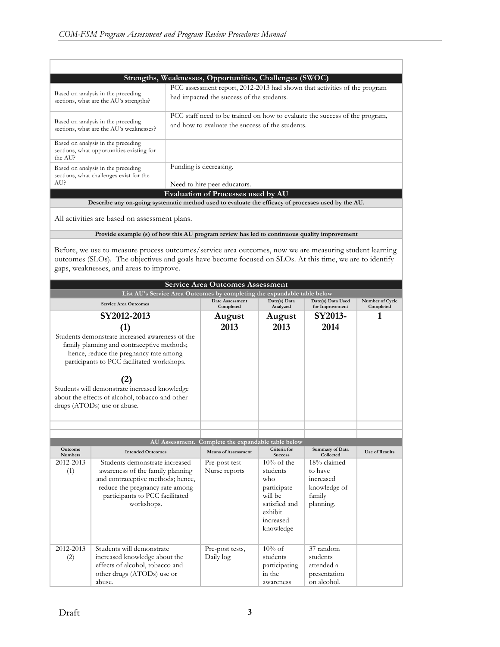| Strengths, Weaknesses, Opportunities, Challenges (SWOC)                                            |                                                                                                                                 |  |  |  |
|----------------------------------------------------------------------------------------------------|---------------------------------------------------------------------------------------------------------------------------------|--|--|--|
| Based on analysis in the preceding<br>sections, what are the AU's strengths?                       | PCC assessment report, 2012-2013 had shown that activities of the program<br>had impacted the success of the students.          |  |  |  |
| Based on analysis in the preceding<br>sections, what are the AU's weaknesses?                      | PCC staff need to be trained on how to evaluate the success of the program,<br>and how to evaluate the success of the students. |  |  |  |
| Based on analysis in the preceding<br>sections, what opportunities existing for<br>the AU?         |                                                                                                                                 |  |  |  |
| Based on analysis in the preceding<br>sections, what challenges exist for the<br>AU?               | Funding is decreasing.<br>Need to hire peer educators.                                                                          |  |  |  |
| <b>Evaluation of Processes used by AU</b>                                                          |                                                                                                                                 |  |  |  |
| Describe any on-going systematic method used to evaluate the efficacy of processes used by the AU. |                                                                                                                                 |  |  |  |
| All activities are based on assessment plans.                                                      |                                                                                                                                 |  |  |  |

**Provide example (s) of how this AU program review has led to continuous quality improvement**

Before, we use to measure process outcomes/service area outcomes, now we are measuring student learning outcomes (SLOs). The objectives and goals have become focused on SLOs. At this time, we are to identify gaps, weaknesses, and areas to improve.

| <b>Service Area Outcomes Assessment</b>                                                                                                                                                                                                                                                                                                |                                                                                                                                                                                             |                                                    |                                                                                                                     |                                                                            |                              |  |
|----------------------------------------------------------------------------------------------------------------------------------------------------------------------------------------------------------------------------------------------------------------------------------------------------------------------------------------|---------------------------------------------------------------------------------------------------------------------------------------------------------------------------------------------|----------------------------------------------------|---------------------------------------------------------------------------------------------------------------------|----------------------------------------------------------------------------|------------------------------|--|
| List AU's Service Area Outcomes by completing the expandable table below                                                                                                                                                                                                                                                               |                                                                                                                                                                                             |                                                    |                                                                                                                     |                                                                            |                              |  |
| <b>Service Area Outcomes</b>                                                                                                                                                                                                                                                                                                           |                                                                                                                                                                                             | Date Assessment<br>Completed                       | Date(s) Data<br>Analyzed                                                                                            | Date(s) Data Used<br>for Improvement                                       | Number of Cycle<br>Completed |  |
|                                                                                                                                                                                                                                                                                                                                        | SY2012-2013                                                                                                                                                                                 | August                                             | August                                                                                                              | SY2013-                                                                    | 1                            |  |
| (1)<br>Students demonstrate increased awareness of the<br>family planning and contraceptive methods;<br>hence, reduce the pregnancy rate among<br>participants to PCC facilitated workshops.<br>(2)<br>Students will demonstrate increased knowledge<br>about the effects of alcohol, tobacco and other<br>drugs (ATODs) use or abuse. |                                                                                                                                                                                             | 2013                                               | 2013                                                                                                                | 2014                                                                       |                              |  |
|                                                                                                                                                                                                                                                                                                                                        |                                                                                                                                                                                             |                                                    |                                                                                                                     |                                                                            |                              |  |
|                                                                                                                                                                                                                                                                                                                                        |                                                                                                                                                                                             | AU Assessment. Complete the expandable table below |                                                                                                                     |                                                                            |                              |  |
| <b>Outcome</b><br><b>Numbers</b>                                                                                                                                                                                                                                                                                                       | <b>Intended Outcomes</b>                                                                                                                                                                    | <b>Means of Assessment</b>                         | Criteria for<br><b>Success</b>                                                                                      | Summary of Data<br>Collected                                               | <b>Use of Results</b>        |  |
| 2012-2013<br>(1)                                                                                                                                                                                                                                                                                                                       | Students demonstrate increased<br>awareness of the family planning<br>and contraceptive methods; hence,<br>reduce the pregnancy rate among<br>participants to PCC facilitated<br>workshops. | Pre-post test<br>Nurse reports                     | $10\%$ of the<br>students<br>$w$ ho<br>participate<br>will be<br>satisfied and<br>exhibit<br>increased<br>knowledge | 18% claimed<br>to have<br>increased<br>knowledge of<br>family<br>planning. |                              |  |
| 2012-2013<br>(2)                                                                                                                                                                                                                                                                                                                       | Students will demonstrate<br>increased knowledge about the<br>effects of alcohol, tobacco and<br>other drugs (ATODs) use or<br>abuse.                                                       | Pre-post tests,<br>Daily log                       | $10\% \text{ of}$<br>students<br>participating<br>in the<br>awareness                                               | 37 random<br>students<br>attended a<br>presentation<br>on alcohol.         |                              |  |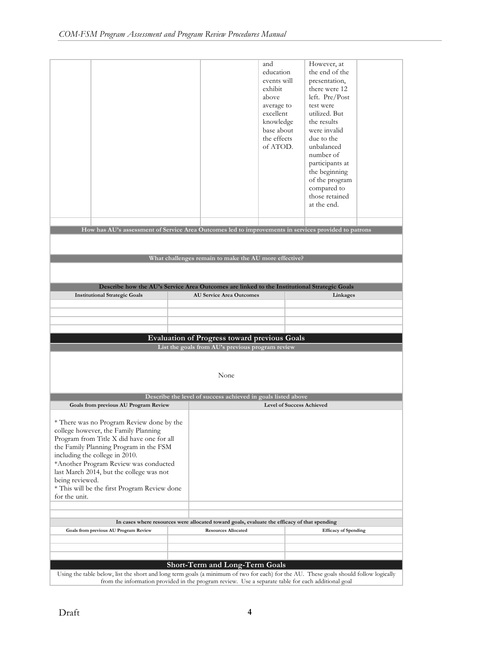|                                                                                                                                                                                                                                             |                                                              | and<br>education<br>events will<br>exhibit<br>above<br>average to<br>excellent<br>knowledge<br>base about<br>the effects<br>of ATOD. | However, at<br>the end of the<br>presentation,<br>there were 12<br>left. $Pre/Post$<br>test were<br>utilized. But<br>the results<br>were invalid<br>due to the<br>unbalanced<br>number of<br>participants at<br>the beginning<br>of the program<br>compared to<br>those retained<br>at the end. |
|---------------------------------------------------------------------------------------------------------------------------------------------------------------------------------------------------------------------------------------------|--------------------------------------------------------------|--------------------------------------------------------------------------------------------------------------------------------------|-------------------------------------------------------------------------------------------------------------------------------------------------------------------------------------------------------------------------------------------------------------------------------------------------|
| How has AU's assessment of Service Area Outcomes led to improvements in services provided to patrons                                                                                                                                        |                                                              |                                                                                                                                      |                                                                                                                                                                                                                                                                                                 |
|                                                                                                                                                                                                                                             |                                                              |                                                                                                                                      |                                                                                                                                                                                                                                                                                                 |
|                                                                                                                                                                                                                                             |                                                              |                                                                                                                                      |                                                                                                                                                                                                                                                                                                 |
|                                                                                                                                                                                                                                             | What challenges remain to make the AU more effective?        |                                                                                                                                      |                                                                                                                                                                                                                                                                                                 |
|                                                                                                                                                                                                                                             |                                                              |                                                                                                                                      |                                                                                                                                                                                                                                                                                                 |
| Describe how the AU's Service Area Outcomes are linked to the Institutional Strategic Goals                                                                                                                                                 |                                                              |                                                                                                                                      |                                                                                                                                                                                                                                                                                                 |
| <b>Institutional Strategic Goals</b>                                                                                                                                                                                                        | <b>AU Service Area Outcomes</b>                              |                                                                                                                                      | Linkages                                                                                                                                                                                                                                                                                        |
|                                                                                                                                                                                                                                             |                                                              |                                                                                                                                      |                                                                                                                                                                                                                                                                                                 |
|                                                                                                                                                                                                                                             |                                                              |                                                                                                                                      |                                                                                                                                                                                                                                                                                                 |
|                                                                                                                                                                                                                                             | <b>Evaluation of Progress toward previous Goals</b>          |                                                                                                                                      |                                                                                                                                                                                                                                                                                                 |
|                                                                                                                                                                                                                                             | List the goals from AU's previous program review             |                                                                                                                                      |                                                                                                                                                                                                                                                                                                 |
|                                                                                                                                                                                                                                             |                                                              |                                                                                                                                      |                                                                                                                                                                                                                                                                                                 |
|                                                                                                                                                                                                                                             | None                                                         |                                                                                                                                      |                                                                                                                                                                                                                                                                                                 |
|                                                                                                                                                                                                                                             |                                                              |                                                                                                                                      |                                                                                                                                                                                                                                                                                                 |
|                                                                                                                                                                                                                                             | Describe the level of success achieved in goals listed above |                                                                                                                                      |                                                                                                                                                                                                                                                                                                 |
| Goals from previous AU Program Review                                                                                                                                                                                                       |                                                              | <b>Level of Success Achieved</b>                                                                                                     |                                                                                                                                                                                                                                                                                                 |
| * There was no Program Review done by the                                                                                                                                                                                                   |                                                              |                                                                                                                                      |                                                                                                                                                                                                                                                                                                 |
| college however, the Family Planning                                                                                                                                                                                                        |                                                              |                                                                                                                                      |                                                                                                                                                                                                                                                                                                 |
| Program from Title X did have one for all<br>the Family Planning Program in the FSM                                                                                                                                                         |                                                              |                                                                                                                                      |                                                                                                                                                                                                                                                                                                 |
| including the college in 2010.                                                                                                                                                                                                              |                                                              |                                                                                                                                      |                                                                                                                                                                                                                                                                                                 |
| *Another Program Review was conducted<br>last March 2014, but the college was not                                                                                                                                                           |                                                              |                                                                                                                                      |                                                                                                                                                                                                                                                                                                 |
| being reviewed.                                                                                                                                                                                                                             |                                                              |                                                                                                                                      |                                                                                                                                                                                                                                                                                                 |
| * This will be the first Program Review done<br>for the unit.                                                                                                                                                                               |                                                              |                                                                                                                                      |                                                                                                                                                                                                                                                                                                 |
|                                                                                                                                                                                                                                             |                                                              |                                                                                                                                      |                                                                                                                                                                                                                                                                                                 |
|                                                                                                                                                                                                                                             |                                                              |                                                                                                                                      |                                                                                                                                                                                                                                                                                                 |
| In cases where resources were allocated toward goals, evaluate the efficacy of that spending<br>Goals from previous AU Program Review                                                                                                       | <b>Resources Allocated</b>                                   |                                                                                                                                      | <b>Efficacy of Spending</b>                                                                                                                                                                                                                                                                     |
|                                                                                                                                                                                                                                             |                                                              |                                                                                                                                      |                                                                                                                                                                                                                                                                                                 |
|                                                                                                                                                                                                                                             |                                                              |                                                                                                                                      |                                                                                                                                                                                                                                                                                                 |
|                                                                                                                                                                                                                                             | <b>Short-Term and Long-Term Goals</b>                        |                                                                                                                                      |                                                                                                                                                                                                                                                                                                 |
| Using the table below, list the short and long term goals (a minimum of two for each) for the AU. These goals should follow logically<br>from the information provided in the program review. Use a separate table for each additional goal |                                                              |                                                                                                                                      |                                                                                                                                                                                                                                                                                                 |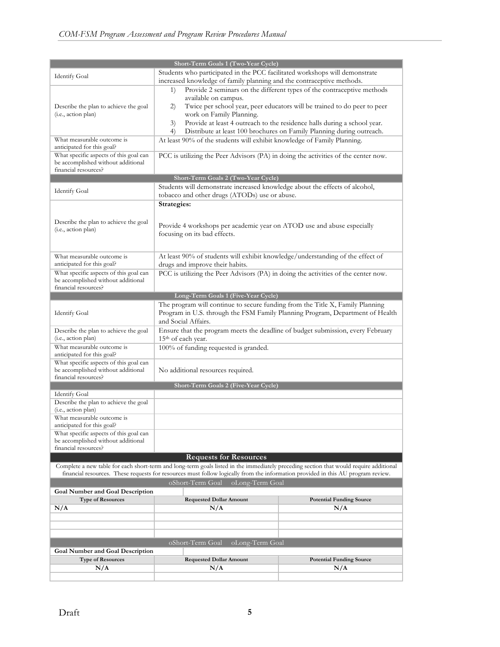| Short-Term Goals 1 (Two-Year Cycle)                        |                                                                                                                                                      |                                                                          |  |  |  |
|------------------------------------------------------------|------------------------------------------------------------------------------------------------------------------------------------------------------|--------------------------------------------------------------------------|--|--|--|
|                                                            |                                                                                                                                                      |                                                                          |  |  |  |
| <b>Identify Goal</b>                                       | Students who participated in the PCC facilitated workshops will demonstrate<br>increased knowledge of family planning and the contraceptive methods. |                                                                          |  |  |  |
|                                                            |                                                                                                                                                      | Provide 2 seminars on the different types of the contraceptive methods   |  |  |  |
|                                                            | 1)<br>available on campus.                                                                                                                           |                                                                          |  |  |  |
| Describe the plan to achieve the goal                      | 2)                                                                                                                                                   | Twice per school year, peer educators will be trained to do peer to peer |  |  |  |
| (i.e., action plan)                                        | work on Family Planning.                                                                                                                             |                                                                          |  |  |  |
|                                                            | 3)                                                                                                                                                   | Provide at least 4 outreach to the residence halls during a school year. |  |  |  |
|                                                            | 4)                                                                                                                                                   | Distribute at least 100 brochures on Family Planning during outreach.    |  |  |  |
| What measurable outcome is                                 | At least 90% of the students will exhibit knowledge of Family Planning.                                                                              |                                                                          |  |  |  |
| anticipated for this goal?                                 |                                                                                                                                                      |                                                                          |  |  |  |
| What specific aspects of this goal can                     | PCC is utilizing the Peer Advisors (PA) in doing the activities of the center now.                                                                   |                                                                          |  |  |  |
| be accomplished without additional                         |                                                                                                                                                      |                                                                          |  |  |  |
| financial resources?                                       |                                                                                                                                                      |                                                                          |  |  |  |
|                                                            | Short-Term Goals 2 (Two-Year Cycle)                                                                                                                  |                                                                          |  |  |  |
| <b>Identify Goal</b>                                       | Students will demonstrate increased knowledge about the effects of alcohol,                                                                          |                                                                          |  |  |  |
|                                                            | tobacco and other drugs (ATODs) use or abuse.                                                                                                        |                                                                          |  |  |  |
|                                                            | Strategies:                                                                                                                                          |                                                                          |  |  |  |
|                                                            |                                                                                                                                                      |                                                                          |  |  |  |
| Describe the plan to achieve the goal                      |                                                                                                                                                      |                                                                          |  |  |  |
| (i.e., action plan)                                        | Provide 4 workshops per academic year on ATOD use and abuse especially                                                                               |                                                                          |  |  |  |
|                                                            | focusing on its bad effects.                                                                                                                         |                                                                          |  |  |  |
|                                                            |                                                                                                                                                      |                                                                          |  |  |  |
| What measurable outcome is                                 | At least 90% of students will exhibit knowledge/understanding of the effect of                                                                       |                                                                          |  |  |  |
| anticipated for this goal?                                 | drugs and improve their habits.                                                                                                                      |                                                                          |  |  |  |
| What specific aspects of this goal can                     | PCC is utilizing the Peer Advisors (PA) in doing the activities of the center now.                                                                   |                                                                          |  |  |  |
| be accomplished without additional                         |                                                                                                                                                      |                                                                          |  |  |  |
| financial resources?                                       |                                                                                                                                                      |                                                                          |  |  |  |
|                                                            | Long-Term Goals 1 (Five-Year Cycle)                                                                                                                  |                                                                          |  |  |  |
|                                                            | The program will continue to secure funding from the Title X, Family Planning                                                                        |                                                                          |  |  |  |
| <b>Identify Goal</b>                                       | Program in U.S. through the FSM Family Planning Program, Department of Health                                                                        |                                                                          |  |  |  |
|                                                            | and Social Affairs.                                                                                                                                  |                                                                          |  |  |  |
| Describe the plan to achieve the goal                      | Ensure that the program meets the deadline of budget submission, every February                                                                      |                                                                          |  |  |  |
| (i.e., action plan)                                        | 15 <sup>th</sup> of each year.                                                                                                                       |                                                                          |  |  |  |
| What measurable outcome is                                 | 100% of funding requested is granded.                                                                                                                |                                                                          |  |  |  |
| anticipated for this goal?                                 |                                                                                                                                                      |                                                                          |  |  |  |
| What specific aspects of this goal can                     |                                                                                                                                                      |                                                                          |  |  |  |
| be accomplished without additional<br>financial resources? | No additional resources required.                                                                                                                    |                                                                          |  |  |  |
|                                                            | Short-Term Goals 2 (Five-Year Cycle)                                                                                                                 |                                                                          |  |  |  |
| <b>Identify Goal</b>                                       |                                                                                                                                                      |                                                                          |  |  |  |
| Describe the plan to achieve the goal                      |                                                                                                                                                      |                                                                          |  |  |  |
| (i.e., action plan)                                        |                                                                                                                                                      |                                                                          |  |  |  |
| What measurable outcome is                                 |                                                                                                                                                      |                                                                          |  |  |  |
| anticipated for this goal?                                 |                                                                                                                                                      |                                                                          |  |  |  |
| What specific aspects of this goal can                     |                                                                                                                                                      |                                                                          |  |  |  |
| be accomplished without additional                         |                                                                                                                                                      |                                                                          |  |  |  |
| financial resources?                                       |                                                                                                                                                      |                                                                          |  |  |  |
|                                                            | <b>Requests for Resources</b>                                                                                                                        |                                                                          |  |  |  |
|                                                            | Complete a new table for each short-term and long-term goals listed in the immediately preceding section that would require additional               |                                                                          |  |  |  |
|                                                            | financial resources. These requests for resources must follow logically from the information provided in this AU program review.                     |                                                                          |  |  |  |
|                                                            | oShort-Term Goal<br>oLong-Term Goal                                                                                                                  |                                                                          |  |  |  |
| <b>Goal Number and Goal Description</b>                    |                                                                                                                                                      |                                                                          |  |  |  |
| <b>Type of Resources</b>                                   | <b>Requested Dollar Amount</b>                                                                                                                       | <b>Potential Funding Source</b>                                          |  |  |  |
| N/A                                                        | N/A                                                                                                                                                  | N/A                                                                      |  |  |  |
|                                                            |                                                                                                                                                      |                                                                          |  |  |  |
|                                                            |                                                                                                                                                      |                                                                          |  |  |  |
|                                                            |                                                                                                                                                      |                                                                          |  |  |  |
|                                                            | oShort-Term Goal<br>oLong-Term Goal                                                                                                                  |                                                                          |  |  |  |
| <b>Goal Number and Goal Description</b>                    |                                                                                                                                                      |                                                                          |  |  |  |
| <b>Type of Resources</b>                                   | <b>Requested Dollar Amount</b>                                                                                                                       | <b>Potential Funding Source</b>                                          |  |  |  |
| N/A                                                        | N/A                                                                                                                                                  | N/A                                                                      |  |  |  |
|                                                            |                                                                                                                                                      |                                                                          |  |  |  |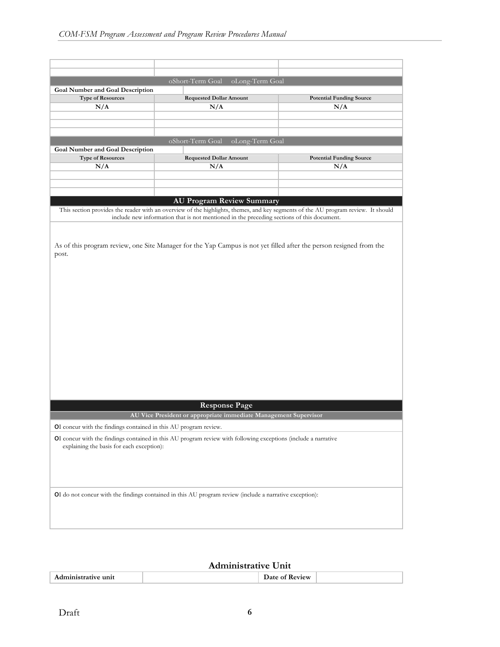| oShort-Term Goal<br>oLong-Term Goal                                 |                                                                                                                |                                                                                                                                   |  |  |  |
|---------------------------------------------------------------------|----------------------------------------------------------------------------------------------------------------|-----------------------------------------------------------------------------------------------------------------------------------|--|--|--|
| <b>Goal Number and Goal Description</b><br><b>Type of Resources</b> | <b>Requested Dollar Amount</b>                                                                                 |                                                                                                                                   |  |  |  |
| N/A                                                                 | N/A                                                                                                            | <b>Potential Funding Source</b><br>N/A                                                                                            |  |  |  |
|                                                                     |                                                                                                                |                                                                                                                                   |  |  |  |
|                                                                     |                                                                                                                |                                                                                                                                   |  |  |  |
|                                                                     |                                                                                                                |                                                                                                                                   |  |  |  |
|                                                                     | oShort-Term Goal<br>oLong-Term Goal                                                                            |                                                                                                                                   |  |  |  |
| <b>Goal Number and Goal Description</b>                             |                                                                                                                |                                                                                                                                   |  |  |  |
| <b>Type of Resources</b><br>N/A                                     | <b>Requested Dollar Amount</b><br>N/A                                                                          | <b>Potential Funding Source</b><br>N/A                                                                                            |  |  |  |
|                                                                     |                                                                                                                |                                                                                                                                   |  |  |  |
|                                                                     |                                                                                                                |                                                                                                                                   |  |  |  |
|                                                                     |                                                                                                                |                                                                                                                                   |  |  |  |
|                                                                     | <b>AU Program Review Summary</b>                                                                               |                                                                                                                                   |  |  |  |
|                                                                     |                                                                                                                | This section provides the reader with an overview of the highlights, themes, and key segments of the AU program review. It should |  |  |  |
|                                                                     | include new information that is not mentioned in the preceding sections of this document.                      |                                                                                                                                   |  |  |  |
|                                                                     |                                                                                                                |                                                                                                                                   |  |  |  |
|                                                                     |                                                                                                                |                                                                                                                                   |  |  |  |
|                                                                     | <b>Response Page</b>                                                                                           |                                                                                                                                   |  |  |  |
|                                                                     | AU Vice President or appropriate immediate Management Supervisor                                               |                                                                                                                                   |  |  |  |
| OI concur with the findings contained in this AU program review.    |                                                                                                                |                                                                                                                                   |  |  |  |
| explaining the basis for each exception):                           | OI concur with the findings contained in this AU program review with following exceptions (include a narrative |                                                                                                                                   |  |  |  |
|                                                                     | OI do not concur with the findings contained in this AU program review (include a narrative exception):        |                                                                                                                                   |  |  |  |
|                                                                     |                                                                                                                |                                                                                                                                   |  |  |  |

## **Administrative Unit**

|--|